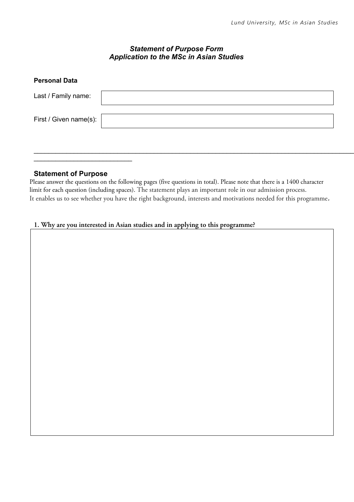## *Statement of Purpose Form Application to the MSc in Asian Studies*

| <b>Personal Data</b>   |  |
|------------------------|--|
| Last / Family name:    |  |
| First / Given name(s): |  |
|                        |  |

 $\_$ 

## **Statement of Purpose**

Please answer the questions on the following pages (five questions in total). Please note that there is a 1400 character limit for each question (including spaces). The statement plays an important role in our admission process. It enables us to see whether you have the right background, interests and motivations needed for this programme.

## **1. Why are you interested in Asian studies and in applying to this programme?**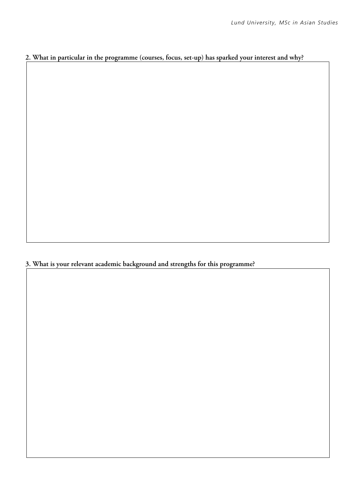## **2. What in particular in the programme (courses, focus, set-up) has sparked your interest and why?**

**3. What is your relevant academic background and strengths for this programme?**